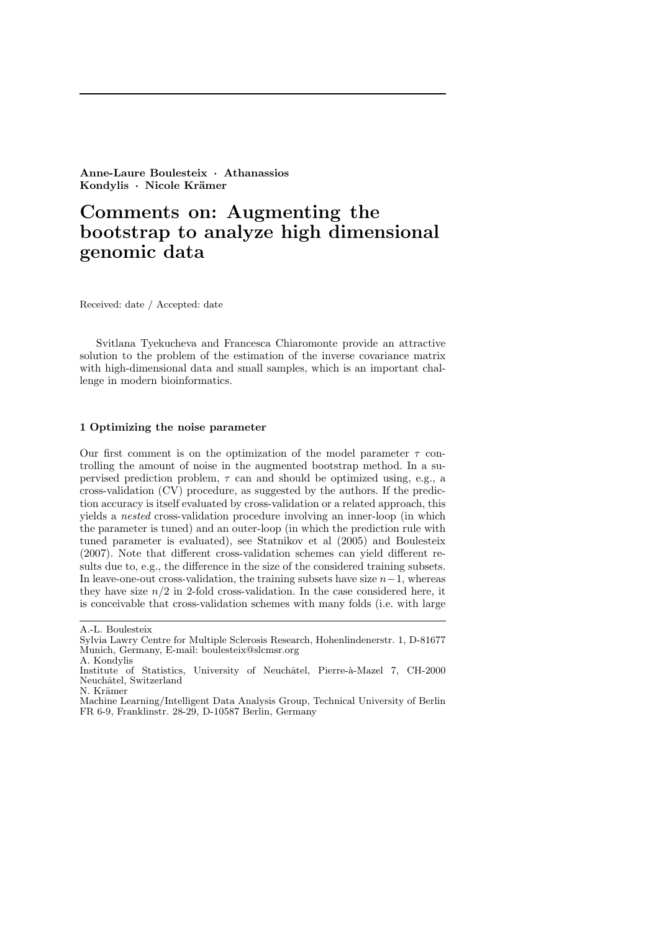Anne-Laure Boulesteix · Athanassios Kondylis · Nicole Krämer

# Comments on: Augmenting the bootstrap to analyze high dimensional genomic data

Received: date / Accepted: date

Svitlana Tyekucheva and Francesca Chiaromonte provide an attractive solution to the problem of the estimation of the inverse covariance matrix with high-dimensional data and small samples, which is an important challenge in modern bioinformatics.

#### 1 Optimizing the noise parameter

Our first comment is on the optimization of the model parameter  $\tau$  controlling the amount of noise in the augmented bootstrap method. In a supervised prediction problem,  $\tau$  can and should be optimized using, e.g., a cross-validation (CV) procedure, as suggested by the authors. If the prediction accuracy is itself evaluated by cross-validation or a related approach, this yields a nested cross-validation procedure involving an inner-loop (in which the parameter is tuned) and an outer-loop (in which the prediction rule with tuned parameter is evaluated), see Statnikov et al (2005) and Boulesteix (2007). Note that different cross-validation schemes can yield different results due to, e.g., the difference in the size of the considered training subsets. In leave-one-out cross-validation, the training subsets have size  $n-1$ , whereas they have size  $n/2$  in 2-fold cross-validation. In the case considered here, it is conceivable that cross-validation schemes with many folds (i.e. with large

A.-L. Boulesteix

Sylvia Lawry Centre for Multiple Sclerosis Research, Hohenlindenerstr. 1, D-81677 Munich, Germany, E-mail: boulesteix@slcmsr.org A. Kondylis

Institute of Statistics, University of Neuchâtel, Pierre-à-Mazel 7, CH-2000 Neuchâtel, Switzerland

N. Krämer

Machine Learning/Intelligent Data Analysis Group, Technical University of Berlin FR 6-9, Franklinstr. 28-29, D-10587 Berlin, Germany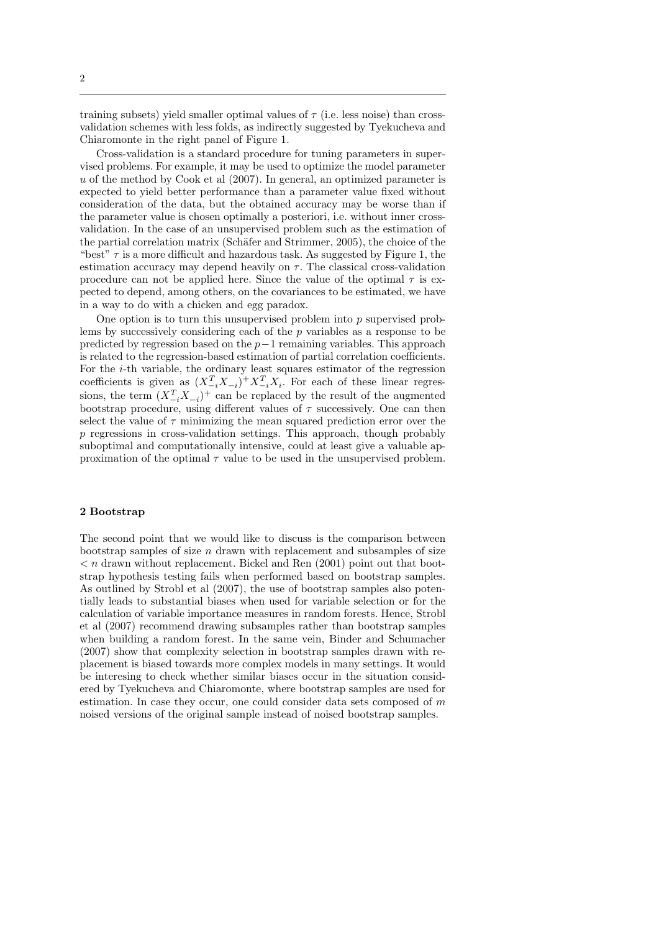training subsets) yield smaller optimal values of  $\tau$  (i.e. less noise) than crossvalidation schemes with less folds, as indirectly suggested by Tyekucheva and Chiaromonte in the right panel of Figure 1.

Cross-validation is a standard procedure for tuning parameters in supervised problems. For example, it may be used to optimize the model parameter  $u$  of the method by Cook et al (2007). In general, an optimized parameter is expected to yield better performance than a parameter value fixed without consideration of the data, but the obtained accuracy may be worse than if the parameter value is chosen optimally a posteriori, i.e. without inner crossvalidation. In the case of an unsupervised problem such as the estimation of the partial correlation matrix (Schäfer and Strimmer, 2005), the choice of the "best"  $\tau$  is a more difficult and hazardous task. As suggested by Figure 1, the estimation accuracy may depend heavily on  $\tau$ . The classical cross-validation procedure can not be applied here. Since the value of the optimal  $\tau$  is expected to depend, among others, on the covariances to be estimated, we have in a way to do with a chicken and egg paradox.

One option is to turn this unsupervised problem into  $p$  supervised problems by successively considering each of the p variables as a response to be predicted by regression based on the p−1 remaining variables. This approach is related to the regression-based estimation of partial correlation coefficients. For the i-th variable, the ordinary least squares estimator of the regression coefficients is given as  $(X_{-i}^T X_{-i})^+ X_{-i}^T X_i$ . For each of these linear regressions, the term  $(X_{-i}^T X_{-i})^+$  can be replaced by the result of the augmented bootstrap procedure, using different values of  $\tau$  successively. One can then select the value of  $\tau$  minimizing the mean squared prediction error over the p regressions in cross-validation settings. This approach, though probably suboptimal and computationally intensive, could at least give a valuable approximation of the optimal  $\tau$  value to be used in the unsupervised problem.

## 2 Bootstrap

The second point that we would like to discuss is the comparison between bootstrap samples of size  $n$  drawn with replacement and subsamples of size  $\langle n \rangle$  arawn without replacement. Bickel and Ren (2001) point out that bootstrap hypothesis testing fails when performed based on bootstrap samples. As outlined by Strobl et al (2007), the use of bootstrap samples also potentially leads to substantial biases when used for variable selection or for the calculation of variable importance measures in random forests. Hence, Strobl et al (2007) recommend drawing subsamples rather than bootstrap samples when building a random forest. In the same vein, Binder and Schumacher (2007) show that complexity selection in bootstrap samples drawn with replacement is biased towards more complex models in many settings. It would be interesing to check whether similar biases occur in the situation considered by Tyekucheva and Chiaromonte, where bootstrap samples are used for estimation. In case they occur, one could consider data sets composed of m noised versions of the original sample instead of noised bootstrap samples.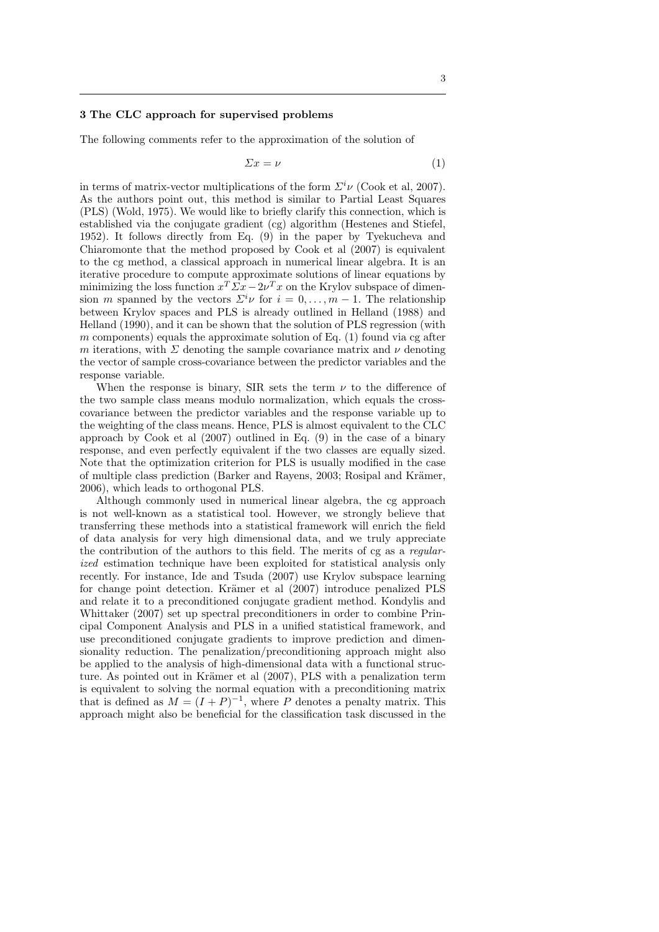## 3 The CLC approach for supervised problems

The following comments refer to the approximation of the solution of

$$
\Sigma x = \nu \tag{1}
$$

in terms of matrix-vector multiplications of the form  $\Sigma^{i} \nu$  (Cook et al, 2007). As the authors point out, this method is similar to Partial Least Squares (PLS) (Wold, 1975). We would like to briefly clarify this connection, which is established via the conjugate gradient (cg) algorithm (Hestenes and Stiefel, 1952). It follows directly from Eq. (9) in the paper by Tyekucheva and Chiaromonte that the method proposed by Cook et al (2007) is equivalent to the cg method, a classical approach in numerical linear algebra. It is an iterative procedure to compute approximate solutions of linear equations by minimizing the loss function  $x^T \Sigma x - 2\nu^T x$  on the Krylov subspace of dimension m spanned by the vectors  $\Sigma^i \nu$  for  $i = 0, \ldots, m - 1$ . The relationship between Krylov spaces and PLS is already outlined in Helland (1988) and Helland (1990), and it can be shown that the solution of PLS regression (with  $m$  components) equals the approximate solution of Eq. (1) found via cg after m iterations, with  $\Sigma$  denoting the sample covariance matrix and  $\nu$  denoting the vector of sample cross-covariance between the predictor variables and the response variable.

When the response is binary, SIR sets the term  $\nu$  to the difference of the two sample class means modulo normalization, which equals the crosscovariance between the predictor variables and the response variable up to the weighting of the class means. Hence, PLS is almost equivalent to the CLC approach by Cook et al (2007) outlined in Eq. (9) in the case of a binary response, and even perfectly equivalent if the two classes are equally sized. Note that the optimization criterion for PLS is usually modified in the case of multiple class prediction (Barker and Rayens, 2003; Rosipal and Krämer, 2006), which leads to orthogonal PLS.

Although commonly used in numerical linear algebra, the cg approach is not well-known as a statistical tool. However, we strongly believe that transferring these methods into a statistical framework will enrich the field of data analysis for very high dimensional data, and we truly appreciate the contribution of the authors to this field. The merits of cg as a regularized estimation technique have been exploited for statistical analysis only recently. For instance, Ide and Tsuda (2007) use Krylov subspace learning for change point detection. Krämer et al (2007) introduce penalized PLS and relate it to a preconditioned conjugate gradient method. Kondylis and Whittaker (2007) set up spectral preconditioners in order to combine Principal Component Analysis and PLS in a unified statistical framework, and use preconditioned conjugate gradients to improve prediction and dimensionality reduction. The penalization/preconditioning approach might also be applied to the analysis of high-dimensional data with a functional structure. As pointed out in Krämer et al (2007), PLS with a penalization term is equivalent to solving the normal equation with a preconditioning matrix that is defined as  $M = (I + P)^{-1}$ , where P denotes a penalty matrix. This approach might also be beneficial for the classification task discussed in the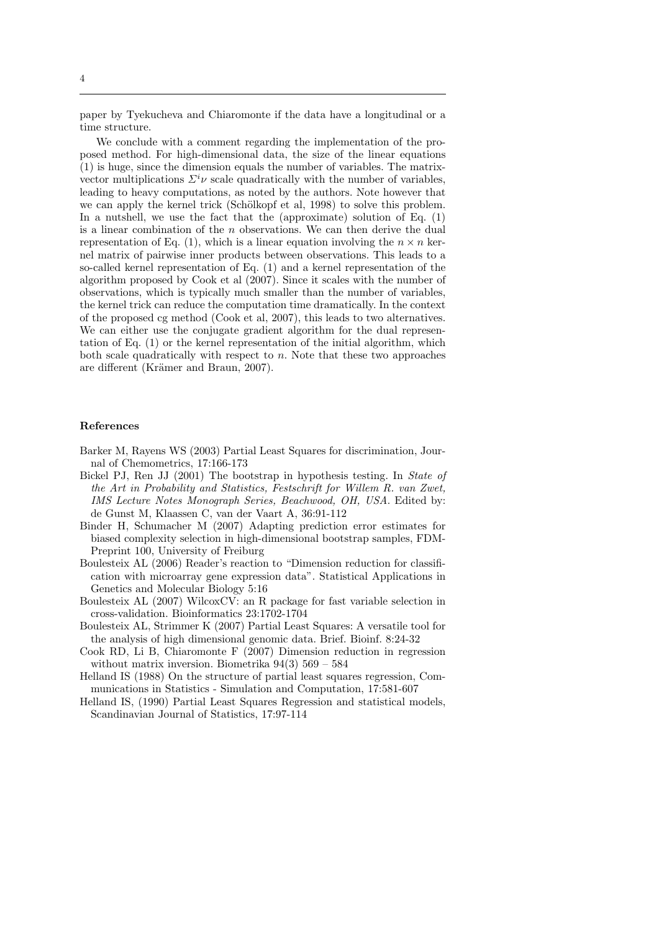paper by Tyekucheva and Chiaromonte if the data have a longitudinal or a time structure.

We conclude with a comment regarding the implementation of the proposed method. For high-dimensional data, the size of the linear equations (1) is huge, since the dimension equals the number of variables. The matrixvector multiplications  $\Sigma^{i} \nu$  scale quadratically with the number of variables, leading to heavy computations, as noted by the authors. Note however that we can apply the kernel trick (Schölkopf et al, 1998) to solve this problem. In a nutshell, we use the fact that the (approximate) solution of Eq. (1) is a linear combination of the n observations. We can then derive the dual representation of Eq. (1), which is a linear equation involving the  $n \times n$  kernel matrix of pairwise inner products between observations. This leads to a so-called kernel representation of Eq. (1) and a kernel representation of the algorithm proposed by Cook et al (2007). Since it scales with the number of observations, which is typically much smaller than the number of variables, the kernel trick can reduce the computation time dramatically. In the context of the proposed cg method (Cook et al, 2007), this leads to two alternatives. We can either use the conjugate gradient algorithm for the dual representation of Eq. (1) or the kernel representation of the initial algorithm, which both scale quadratically with respect to  $n$ . Note that these two approaches are different (Krämer and Braun, 2007).

#### References

- Barker M, Rayens WS (2003) Partial Least Squares for discrimination, Journal of Chemometrics, 17:166-173
- Bickel PJ, Ren JJ (2001) The bootstrap in hypothesis testing. In State of the Art in Probability and Statistics, Festschrift for Willem R. van Zwet, IMS Lecture Notes Monograph Series, Beachwood, OH, USA. Edited by: de Gunst M, Klaassen C, van der Vaart A, 36:91-112
- Binder H, Schumacher M (2007) Adapting prediction error estimates for biased complexity selection in high-dimensional bootstrap samples, FDM-Preprint 100, University of Freiburg
- Boulesteix AL (2006) Reader's reaction to "Dimension reduction for classification with microarray gene expression data". Statistical Applications in Genetics and Molecular Biology 5:16
- Boulesteix AL (2007) WilcoxCV: an R package for fast variable selection in cross-validation. Bioinformatics 23:1702-1704
- Boulesteix AL, Strimmer K (2007) Partial Least Squares: A versatile tool for the analysis of high dimensional genomic data. Brief. Bioinf. 8:24-32
- Cook RD, Li B, Chiaromonte F (2007) Dimension reduction in regression without matrix inversion. Biometrika 94(3) 569 – 584
- Helland IS (1988) On the structure of partial least squares regression, Communications in Statistics - Simulation and Computation, 17:581-607
- Helland IS, (1990) Partial Least Squares Regression and statistical models, Scandinavian Journal of Statistics, 17:97-114